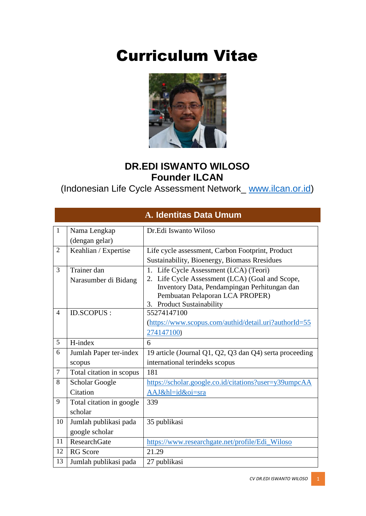# Curriculum Vitae



#### **DR.EDI ISWANTO WILOSO Founder ILCAN**

(Indonesian Life Cycle Assessment Network\_ [www.ilcan.or.id\)](http://www.ilcan.or.id/)

|                |                          | A. Identitas Data Umum                                                          |
|----------------|--------------------------|---------------------------------------------------------------------------------|
| $\mathbf{1}$   | Nama Lengkap             | Dr.Edi Iswanto Wiloso                                                           |
|                | (dengan gelar)           |                                                                                 |
| $\overline{2}$ | Keahlian / Expertise     | Life cycle assessment, Carbon Footprint, Product                                |
|                |                          | Sustainability, Bioenergy, Biomass Rresidues                                    |
| 3              | Trainer dan              | 1. Life Cycle Assessment (LCA) (Teori)                                          |
|                | Narasumber di Bidang     | 2. Life Cycle Assessment (LCA) (Goal and Scope,                                 |
|                |                          | Inventory Data, Pendampingan Perhitungan dan<br>Pembuatan Pelaporan LCA PROPER) |
|                |                          | 3. Product Sustainability                                                       |
| $\overline{4}$ | <b>ID.SCOPUS:</b>        | 55274147100                                                                     |
|                |                          | (https://www.scopus.com/authid/detail.uri?authorId=55                           |
|                |                          | 274147100)                                                                      |
| 5              | H-index                  | 6                                                                               |
|                |                          |                                                                                 |
| 6              | Jumlah Paper ter-index   | 19 article (Journal Q1, Q2, Q3 dan Q4) serta proceeding                         |
|                | scopus                   | international terindeks scopus                                                  |
| $\tau$         | Total citation in scopus | 181                                                                             |
| 8              | <b>Scholar Google</b>    | https://scholar.google.co.id/citations?user=y39umpcAA                           |
|                | Citation                 | AAJ&hl=id&oi=sra                                                                |
| 9              | Total citation in google | 339                                                                             |
|                | scholar                  |                                                                                 |
| 10             | Jumlah publikasi pada    | 35 publikasi                                                                    |
|                | google scholar           |                                                                                 |
| 11             | <b>ResearchGate</b>      | https://www.researchgate.net/profile/Edi_Wiloso                                 |
| 12             | <b>RG</b> Score          | 21.29                                                                           |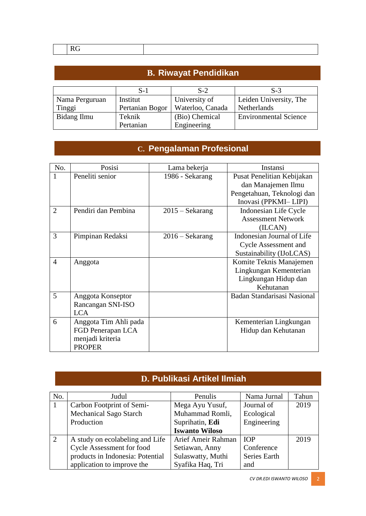| <b>B. Riwayat Pendidikan</b> |                         |                  |                              |  |  |
|------------------------------|-------------------------|------------------|------------------------------|--|--|
|                              | $S-2$<br>$S-1$<br>$S-3$ |                  |                              |  |  |
| Nama Perguruan               | Institut                | University of    | Leiden University, The       |  |  |
| Tinggi                       | Pertanian Bogor         | Waterloo, Canada | Netherlands                  |  |  |
| Bidang Ilmu                  | Teknik                  | (Bio) Chemical   | <b>Environmental Science</b> |  |  |
|                              | Pertanian               | Engineering      |                              |  |  |

#### **C. Pengalaman Profesional**

| No.            | Posisi                | Lama bekerja             | Instansi                    |
|----------------|-----------------------|--------------------------|-----------------------------|
|                | Peneliti senior       | 1986 - Sekarang          | Pusat Penelitian Kebijakan  |
|                |                       |                          | dan Manajemen Ilmu          |
|                |                       |                          | Pengetahuan, Teknologi dan  |
|                |                       |                          | Inovasi (PPKMI-LIPI)        |
| $\overline{2}$ | Pendiri dan Pembina   | $2015 - \text{Sekarang}$ | Indonesian Life Cycle       |
|                |                       |                          | <b>Assessment Network</b>   |
|                |                       |                          | (ILCAN)                     |
| 3              | Pimpinan Redaksi      | $2016 - \text{Sekarang}$ | Indonesian Journal of Life  |
|                |                       |                          | <b>Cycle Assessment and</b> |
|                |                       |                          | Sustainability (IJoLCAS)    |
| 4              | Anggota               |                          | Komite Teknis Manajemen     |
|                |                       |                          | Lingkungan Kementerian      |
|                |                       |                          | Lingkungan Hidup dan        |
|                |                       |                          | Kehutanan                   |
| 5              | Anggota Konseptor     |                          | Badan Standarisasi Nasional |
|                | Rancangan SNI-ISO     |                          |                             |
|                | <b>LCA</b>            |                          |                             |
| 6              | Anggota Tim Ahli pada |                          | Kementerian Lingkungan      |
|                | FGD Penerapan LCA     |                          | Hidup dan Kehutanan         |
|                | menjadi kriteria      |                          |                             |
|                | <b>PROPER</b>         |                          |                             |

### **D. Publikasi Artikel Ilmiah**

| No. | Judul                            | Penulis               | Nama Jurnal  | Tahun |
|-----|----------------------------------|-----------------------|--------------|-------|
|     | Carbon Footprint of Semi-        | Mega Ayu Yusuf,       | Journal of   | 2019  |
|     | <b>Mechanical Sago Starch</b>    | Muhammad Romli,       | Ecological   |       |
|     | Production                       | Suprihatin, Edi       | Engineering  |       |
|     |                                  | <b>Iswanto Wiloso</b> |              |       |
| 2   | A study on ecolabeling and Life  | Arief Ameir Rahman    | <b>IOP</b>   | 2019  |
|     | <b>Cycle Assessment for food</b> | Setiawan, Anny        | Conference   |       |
|     | products in Indonesia: Potential | Sulaswatty, Muthi     | Series Earth |       |
|     | application to improve the       | Syafika Haq, Tri      | and          |       |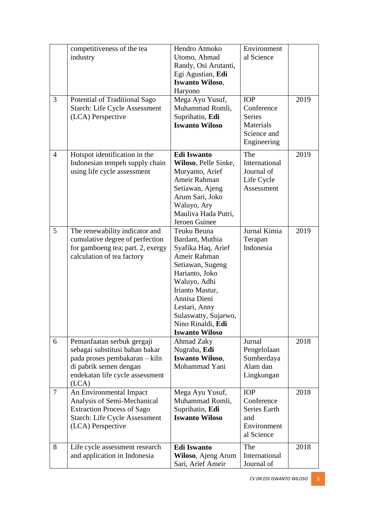| 3              | competitiveness of the tea<br>industry<br>Potential of Traditional Sago<br><b>Starch: Life Cycle Assessment</b>                                                     | Hendro Atmoko<br>Utomo, Ahmad<br>Randy, Osi Arutanti,<br>Egi Agustian, Edi<br><b>Iswanto Wiloso,</b><br>Haryono<br>Mega Ayu Yusuf,<br>Muhammad Romli,                                                                                                | Environment<br>al Science<br><b>IOP</b><br>Conference                        | 2019 |
|----------------|---------------------------------------------------------------------------------------------------------------------------------------------------------------------|------------------------------------------------------------------------------------------------------------------------------------------------------------------------------------------------------------------------------------------------------|------------------------------------------------------------------------------|------|
|                | (LCA) Perspective                                                                                                                                                   | Suprihatin, Edi<br><b>Iswanto Wiloso</b>                                                                                                                                                                                                             | <b>Series</b><br>Materials<br>Science and<br>Engineering                     |      |
| $\overline{4}$ | Hotspot identification in the<br>Indonesian tempeh supply chain<br>using life cycle assessment                                                                      | <b>Edi Iswanto</b><br>Wiloso, Pelle Sinke,<br>Muryanto, Arief<br>Ameir Rahman<br>Setiawan, Ajeng<br>Arum Sari, Joko<br>Waluyo, Ary<br>Mauliva Hada Putri,<br>Jeroen Guinee                                                                           | The<br>International<br>Journal of<br>Life Cycle<br>Assessment               | 2019 |
| 5              | The renewability indicator and<br>cumulative degree of perfection<br>for gamboeng tea; part. 2, exergy<br>calculation of tea factory                                | Teuku Beuna<br>Bardant, Muthia<br>Syafika Haq, Arief<br>Ameir Rahman<br>Setiawan, Sugeng<br>Harianto, Joko<br>Waluyo, Adhi<br>Irianto Mastur,<br>Annisa Dieni<br>Lestari, Anny<br>Sulaswatty, Sujarwo,<br>Nino Rinaldi, Edi<br><b>Iswanto Wiloso</b> | Jurnal Kimia<br>Terapan<br>Indonesia                                         | 2019 |
| 6              | Pemanfaatan serbuk gergaji<br>sebagai substitusi bahan bakar<br>pada proses pembakaran - kiln<br>di pabrik semen dengan<br>endekatan life cycle assessment<br>(LCA) | Ahmad Zaky<br>Nugraha, Edi<br><b>Iswanto Wiloso,</b><br>Mohammad Yani                                                                                                                                                                                | Jurnal<br>Pengelolaan<br>Sumberdaya<br>Alam dan<br>Lingkungan                | 2018 |
| $\overline{7}$ | An Environmental Impact<br>Analysis of Semi-Mechanical<br><b>Extraction Process of Sago</b><br><b>Starch: Life Cycle Assessment</b><br>(LCA) Perspective            | Mega Ayu Yusuf,<br>Muhammad Romli,<br>Suprihatin, Edi<br><b>Iswanto Wiloso</b>                                                                                                                                                                       | <b>IOP</b><br>Conference<br>Series Earth<br>and<br>Environment<br>al Science | 2018 |
| 8              | Life cycle assessment research<br>and application in Indonesia                                                                                                      | <b>Edi Iswanto</b><br>Wiloso, Ajeng Arum<br>Sari, Arief Ameir                                                                                                                                                                                        | The<br>International<br>Journal of                                           | 2018 |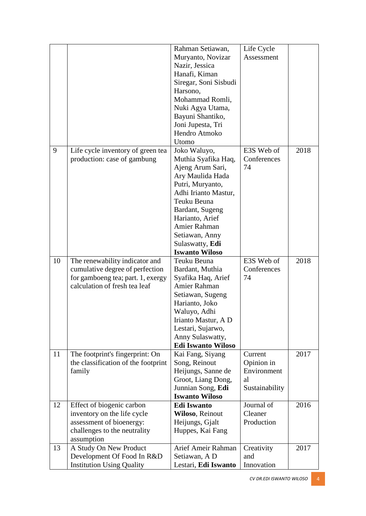|    |                                                                | Rahman Setiawan,                      | Life Cycle        |      |
|----|----------------------------------------------------------------|---------------------------------------|-------------------|------|
|    |                                                                | Muryanto, Novizar                     | Assessment        |      |
|    |                                                                | Nazir, Jessica                        |                   |      |
|    |                                                                | Hanafi, Kiman                         |                   |      |
|    |                                                                | Siregar, Soni Sisbudi                 |                   |      |
|    |                                                                | Harsono,                              |                   |      |
|    |                                                                | Mohammad Romli,                       |                   |      |
|    |                                                                | Nuki Agya Utama,                      |                   |      |
|    |                                                                | Bayuni Shantiko,                      |                   |      |
|    |                                                                | Joni Jupesta, Tri                     |                   |      |
|    |                                                                | Hendro Atmoko                         |                   |      |
|    |                                                                | Utomo                                 |                   |      |
| 9  | Life cycle inventory of green tea                              | Joko Waluyo,                          | E3S Web of        | 2018 |
|    | production: case of gambung                                    | Muthia Syafika Haq,                   | Conferences       |      |
|    |                                                                | Ajeng Arum Sari,                      | 74                |      |
|    |                                                                | Ary Maulida Hada                      |                   |      |
|    |                                                                | Putri, Muryanto,                      |                   |      |
|    |                                                                | Adhi Irianto Mastur,                  |                   |      |
|    |                                                                | Teuku Beuna                           |                   |      |
|    |                                                                | Bardant, Sugeng                       |                   |      |
|    |                                                                | Harianto, Arief                       |                   |      |
|    |                                                                | Amier Rahman                          |                   |      |
|    |                                                                | Setiawan, Anny                        |                   |      |
|    |                                                                | Sulaswatty, Edi                       |                   |      |
|    |                                                                | <b>Iswanto Wiloso</b>                 |                   |      |
| 10 | The renewability indicator and                                 | Teuku Beuna                           | E3S Web of        | 2018 |
|    | cumulative degree of perfection                                | Bardant, Muthia                       | Conferences       |      |
|    | for gamboeng tea; part. 1, exergy                              | Syafika Haq, Arief                    | 74                |      |
|    | calculation of fresh tea leaf                                  | Amier Rahman                          |                   |      |
|    |                                                                | Setiawan, Sugeng                      |                   |      |
|    |                                                                | Harianto, Joko                        |                   |      |
|    |                                                                | Waluyo, Adhi                          |                   |      |
|    |                                                                | Irianto Mastur, A D                   |                   |      |
|    |                                                                | Lestari, Sujarwo,                     |                   |      |
|    |                                                                | Anny Sulaswatty,                      |                   |      |
|    |                                                                | <b>Edi Iswanto Wiloso</b>             |                   |      |
| 11 | The footprint's fingerprint: On                                | Kai Fang, Siyang                      | Current           | 2017 |
|    | the classification of the footprint                            | Song, Reinout                         | Opinion in        |      |
|    | family                                                         | Heijungs, Sanne de                    | Environment       |      |
|    |                                                                | Groot, Liang Dong,                    | al                |      |
|    |                                                                | Junnian Song, Edi                     | Sustainability    |      |
|    |                                                                | <b>Iswanto Wiloso</b>                 |                   |      |
| 12 | Effect of biogenic carbon                                      | <b>Edi Iswanto</b>                    | Journal of        | 2016 |
|    | inventory on the life cycle                                    | Wiloso, Reinout                       | Cleaner           |      |
|    | assessment of bioenergy:                                       | Heijungs, Gjalt                       | Production        |      |
|    | challenges to the neutrality                                   | Huppes, Kai Fang                      |                   |      |
|    |                                                                |                                       |                   |      |
|    | assumption                                                     |                                       |                   |      |
| 13 | A Study On New Product                                         | Arief Ameir Rahman                    | Creativity        | 2017 |
|    | Development Of Food In R&D<br><b>Institution Using Quality</b> | Setiawan, A D<br>Lestari, Edi Iswanto | and<br>Innovation |      |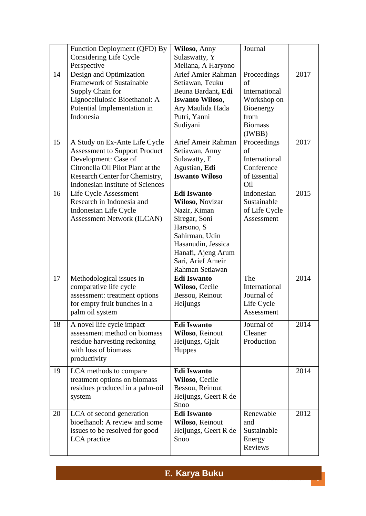|    | Function Deployment (QFD) By            | Wiloso, Anny           | Journal        |      |
|----|-----------------------------------------|------------------------|----------------|------|
|    | Considering Life Cycle                  | Sulaswatty, Y          |                |      |
|    | Perspective                             | Meliana, A Haryono     |                |      |
| 14 | Design and Optimization                 | Arief Amier Rahman     | Proceedings    | 2017 |
|    | <b>Framework of Sustainable</b>         | Setiawan, Teuku        | of             |      |
|    | Supply Chain for                        | Beuna Bardant, Edi     | International  |      |
|    | Lignocellulosic Bioethanol: A           | <b>Iswanto Wiloso,</b> | Workshop on    |      |
|    | Potential Implementation in             | Ary Maulida Hada       | Bioenergy      |      |
|    | Indonesia                               | Putri, Yanni           | from           |      |
|    |                                         | Sudiyani               | <b>Biomass</b> |      |
|    |                                         |                        | (IWBB)         |      |
| 15 | A Study on Ex-Ante Life Cycle           | Arief Ameir Rahman     | Proceedings    | 2017 |
|    | <b>Assessment to Support Product</b>    | Setiawan, Anny         | of             |      |
|    | Development: Case of                    | Sulawatty, E           | International  |      |
|    | Citronella Oil Pilot Plant at the       | Agustian, Edi          | Conference     |      |
|    | Research Center for Chemistry,          | <b>Iswanto Wiloso</b>  | of Essential   |      |
|    | <b>Indonesian Institute of Sciences</b> |                        | Oil            |      |
| 16 | Life Cycle Assessment                   | <b>Edi Iswanto</b>     | Indonesian     | 2015 |
|    | Research in Indonesia and               | Wiloso, Novizar        | Sustainable    |      |
|    | Indonesian Life Cycle                   | Nazir, Kiman           | of Life Cycle  |      |
|    | <b>Assessment Network (ILCAN)</b>       | Siregar, Soni          | Assessment     |      |
|    |                                         | Harsono, S             |                |      |
|    |                                         | Sahirman, Udin         |                |      |
|    |                                         | Hasanudin, Jessica     |                |      |
|    |                                         | Hanafi, Ajeng Arum     |                |      |
|    |                                         | Sari, Arief Ameir      |                |      |
|    |                                         | Rahman Setiawan        |                |      |
| 17 | Methodological issues in                | <b>Edi Iswanto</b>     | The            | 2014 |
|    | comparative life cycle                  | Wiloso, Cecile         | International  |      |
|    | assessment: treatment options           | Bessou, Reinout        | Journal of     |      |
|    | for empty fruit bunches in a            | Heijungs               | Life Cycle     |      |
|    | palm oil system                         |                        | Assessment     |      |
|    |                                         |                        |                |      |
| 18 | A novel life cycle impact               | <b>Edi Iswanto</b>     | Journal of     | 2014 |
|    | assessment method on biomass            | Wiloso, Reinout        | Cleaner        |      |
|    | residue harvesting reckoning            | Heijungs, Gjalt        | Production     |      |
|    | with loss of biomass                    | <b>Huppes</b>          |                |      |
|    | productivity                            |                        |                |      |
| 19 | LCA methods to compare                  | <b>Edi Iswanto</b>     |                | 2014 |
|    | treatment options on biomass            | Wiloso, Cecile         |                |      |
|    | residues produced in a palm-oil         | Bessou, Reinout        |                |      |
|    | system                                  | Heijungs, Geert R de   |                |      |
|    |                                         | Snoo                   |                |      |
| 20 | LCA of second generation                | <b>Edi Iswanto</b>     | Renewable      | 2012 |
|    | bioethanol: A review and some           | Wiloso, Reinout        | and            |      |
|    |                                         |                        |                |      |
|    | issues to be resolved for good          | Heijungs, Geert R de   | Sustainable    |      |
|    | LCA practice                            | Snoo                   | Energy         |      |
|    |                                         |                        |                |      |

*CV DR.EDI ISWANTO WILOSO* 5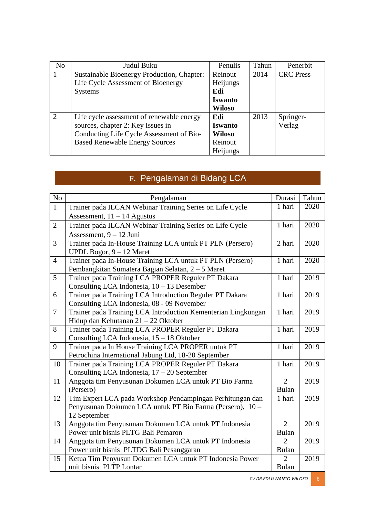| N <sub>o</sub> | Judul Buku                                 | Penulis        | Tahun | Penerbit         |
|----------------|--------------------------------------------|----------------|-------|------------------|
|                | Sustainable Bioenergy Production, Chapter: | Reinout        | 2014  | <b>CRC</b> Press |
|                | Life Cycle Assessment of Bioenergy         | Heijungs       |       |                  |
|                | <b>Systems</b>                             | Edi            |       |                  |
|                |                                            | <b>Iswanto</b> |       |                  |
|                |                                            | Wiloso         |       |                  |
| 2              | Life cycle assessment of renewable energy  | Edi            | 2013  | Springer-        |
|                | sources, chapter 2: Key Issues in          | <b>Iswanto</b> |       | Verlag           |
|                | Conducting Life Cycle Assessment of Bio-   | <b>Wiloso</b>  |       |                  |
|                | <b>Based Renewable Energy Sources</b>      | Reinout        |       |                  |
|                |                                            | Heijungs       |       |                  |

## **F.** Pengalaman di Bidang LCA

| $\rm No$       | Pengalaman                                                    | Durasi         | Tahun |
|----------------|---------------------------------------------------------------|----------------|-------|
| $\mathbf{1}$   | Trainer pada ILCAN Webinar Training Series on Life Cycle      | 1 hari         | 2020  |
|                | Assessment, $11 - 14$ Agustus                                 |                |       |
| $\overline{2}$ | Trainer pada ILCAN Webinar Training Series on Life Cycle      | 1 hari         | 2020  |
|                | Assessment, 9 - 12 Juni                                       |                |       |
| $\overline{3}$ | Trainer pada In-House Training LCA untuk PT PLN (Persero)     | 2 hari         | 2020  |
|                | UPDL Bogor, 9 - 12 Maret                                      |                |       |
| $\overline{4}$ | Trainer pada In-House Training LCA untuk PT PLN (Persero)     | 1 hari         | 2020  |
|                | Pembangkitan Sumatera Bagian Selatan, 2 – 5 Maret             |                |       |
| $\overline{5}$ | Trainer pada Training LCA PROPER Reguler PT Dakara            | 1 hari         | 2019  |
|                | Consulting LCA Indonesia, $10 - 13$ Desember                  |                |       |
| 6              | Trainer pada Training LCA Introduction Reguler PT Dakara      | 1 hari         | 2019  |
|                | Consulting LCA Indonesia, 08 - 09 November                    |                |       |
| $\overline{7}$ | Trainer pada Training LCA Introduction Kementerian Lingkungan | 1 hari         | 2019  |
|                | Hidup dan Kehutanan 21 - 22 Oktober                           |                |       |
| 8              | Trainer pada Training LCA PROPER Reguler PT Dakara            | 1 hari         | 2019  |
|                | Consulting LCA Indonesia, 15 - 18 Oktober                     |                |       |
| 9              | Trainer pada In House Training LCA PROPER untuk PT            | 1 hari         | 2019  |
|                | Petrochina International Jabung Ltd, 18-20 September          |                |       |
| 10             | Trainer pada Training LCA PROPER Reguler PT Dakara            | 1 hari         | 2019  |
|                | Consulting LCA Indonesia, 17 - 20 September                   |                |       |
| 11             | Anggota tim Penyusunan Dokumen LCA untuk PT Bio Farma         | $\overline{2}$ | 2019  |
|                | (Persero)                                                     | <b>Bulan</b>   |       |
| 12             | Tim Expert LCA pada Workshop Pendampingan Perhitungan dan     | 1 hari         | 2019  |
|                | Penyusunan Dokumen LCA untuk PT Bio Farma (Persero), 10 -     |                |       |
|                | 12 September                                                  |                |       |
| 13             | Anggota tim Penyusunan Dokumen LCA untuk PT Indonesia         | $\overline{2}$ | 2019  |
|                | Power unit bisnis PLTG Bali Pemaron                           | <b>Bulan</b>   |       |
| 14             | Anggota tim Penyusunan Dokumen LCA untuk PT Indonesia         | $\overline{2}$ | 2019  |
|                | Power unit bisnis PLTDG Bali Pesanggaran                      | <b>Bulan</b>   |       |
| 15             | Ketua Tim Penyusun Dokumen LCA untuk PT Indonesia Power       | $\overline{2}$ | 2019  |
|                | unit bisnis PLTP Lontar                                       | <b>Bulan</b>   |       |